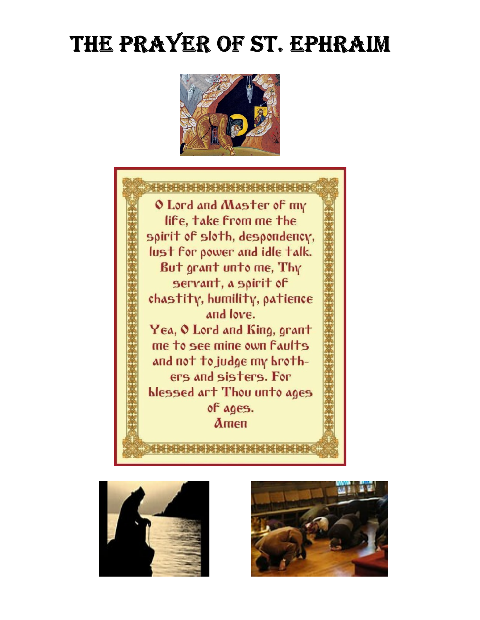# THE PRAYER OF ST. EPHRAIM







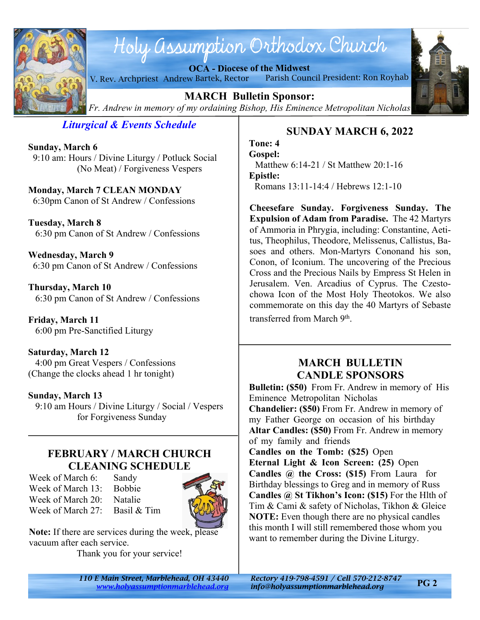

# Holy assumption Orthodox Church

**OCA - Diocese of the Midwest** V. Rev. Archpriest Andrew Bartek, Rector Parish Council President: Ron Royhab



**MARCH Bulletin Sponsor:** *Fr. Andrew in memory of my ordaining Bishop, His Eminence Metropolitan Nicholas*

*Liturgical & Events Schedule*

**Sunday, March 6** 9:10 am: Hours / Divine Liturgy / Potluck Social (No Meat) / Forgiveness Vespers

**Monday, March 7 CLEAN MONDAY** 6:30pm Canon of St Andrew / Confessions

**Tuesday, March 8** 6:30 pm Canon of St Andrew / Confessions

**Wednesday, March 9** 6:30 pm Canon of St Andrew / Confessions

**Thursday, March 10** 6:30 pm Canon of St Andrew / Confessions

**Friday, March 11** 6:00 pm Pre-Sanctified Liturgy

**Saturday, March 12** 4:00 pm Great Vespers / Confessions (Change the clocks ahead 1 hr tonight)

### **Sunday, March 13**

 9:10 am Hours / Divine Liturgy / Social / Vespers for Forgiveness Sunday

## **FEBRUARY / MARCH CHURCH CLEANING SCHEDULE**

Week of March 6: Sandy Week of March 13: Bobbie Week of March 20: Natalie Week of March 27: Basil & Tim



**Note:** If there are services during the week, please vacuum after each service. Thank you for your service!

*110 E Main Street, Marblehead, OH 43440 Rectory 419-798-4591 / Cell 570-212-8747*

# **SUNDAY MARCH 6, 2022**

**Tone: 4 Gospel:** Matthew 6:14-21 / St Matthew 20:1-16 **Epistle:** Romans 13:11-14:4 / Hebrews 12:1-10

**Cheesefare Sunday. Forgiveness Sunday. The Expulsion of Adam from Paradise.** The 42 Martyrs of Ammoria in Phrygia, including: Constantine, Aetitus, Theophilus, Theodore, Melissenus, Callistus, Basoes and others. Mon-Martyrs Cononand his son, Conon, of Iconium. The uncovering of the Precious Cross and the Precious Nails by Empress St Helen in Jerusalem. Ven. Arcadius of Cyprus. The Czestochowa Icon of the Most Holy Theotokos. We also commemorate on this day the 40 Martyrs of Sebaste transferred from March 9<sup>th</sup>.

# **MARCH BULLETIN CANDLE SPONSORS**

**Bulletin: (\$50)** From Fr. Andrew in memory of His Eminence Metropolitan Nicholas **Chandelier: (\$50)** From Fr. Andrew in memory of my Father George on occasion of his birthday **Altar Candles: (\$50)** From Fr. Andrew in memory of my family and friends **Candles on the Tomb: (\$25)** Open

**Eternal Light & Icon Screen: (25)** Open **Candles @ the Cross: (\$15)** From Laura for Birthday blessings to Greg and in memory of Russ **Candles @ St Tikhon's Icon: (\$15)** For the Hlth of Tim & Cami & safety of Nicholas, Tikhon & Gleice **NOTE:** Even though there are no physical candles this month I will still remembered those whom you want to remember during the Divine Liturgy.

*<www.holyassumptionmarblehead.org> info@holyassumptionmarblehead.org*

**PG 2**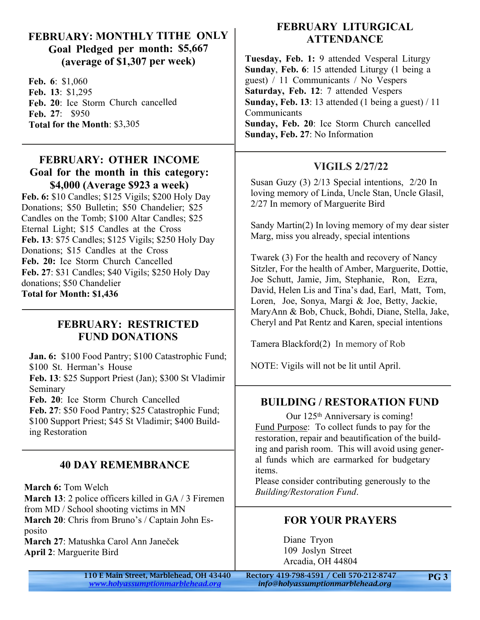## **FEBRUARY: MONTHLY TITHE ONLY Goal Pledged per month: \$5,667 (average of \$1,307 per week)**

**Feb. 6**: \$1,060 **Feb. 13**: \$1,295 **Feb. 20**: Ice Storm Church cancelled **Feb. 27**: \$950 **Total for the Month**: \$3,305

## **FEBRUARY: OTHER INCOME Goal for the month in this category: \$4,000 (Average \$923 a week)**

**Feb. 6:** \$10 Candles; \$125 Vigils; \$200 Holy Day Donations; \$50 Bulletin; \$50 Chandelier; \$25 Candles on the Tomb; \$100 Altar Candles; \$25 Eternal Light; \$15 Candles at the Cross **Feb. 13**: \$75 Candles; \$125 Vigils; \$250 Holy Day Donations; \$15 Candles at the Cross **Feb. 20:** Ice Storm Church Cancelled **Feb. 27**: \$31 Candles; \$40 Vigils; \$250 Holy Day donations; \$50 Chandelier **Total for Month: \$1,436**

## **FEBRUARY: RESTRICTED FUND DONATIONS**

**Jan. 6:** \$100 Food Pantry; \$100 Catastrophic Fund; \$100 St. Herman's House **Feb. 13**: \$25 Support Priest (Jan); \$300 St Vladimir Seminary **Feb. 20**: Ice Storm Church Cancelled

**Feb. 27**: \$50 Food Pantry; \$25 Catastrophic Fund; \$100 Support Priest; \$45 St Vladimir; \$400 Building Restoration

# **40 DAY REMEMBRANCE**

**March 6:** Tom Welch

**March 13**: 2 police officers killed in GA / 3 Firemen from MD / School shooting victims in MN **March 20**: Chris from Bruno's / Captain John Esposito **March 27**: Matushka Carol Ann Janeček

**April 2**: Marguerite Bird

# **FEBRUARY LITURGICAL ATTENDANCE**

**Tuesday, Feb. 1:** 9 attended Vesperal Liturgy **Sunday**, **Feb. 6**: 15 attended Liturgy (1 being a guest) / 11 Communicants / No Vespers **Saturday, Feb. 12**: 7 attended Vespers **Sunday, Feb. 13**: 13 attended (1 being a guest) / 11 Communicants **Sunday, Feb. 20**: Ice Storm Church cancelled **Sunday, Feb. 27**: No Information

# **VIGILS 2/27/22**

Susan Guzy (3) 2/13 Special intentions, 2/20 In loving memory of Linda, Uncle Stan, Uncle Glasil, 2/27 In memory of Marguerite Bird

Sandy Martin(2) In loving memory of my dear sister Marg, miss you already, special intentions

Twarek (3) For the health and recovery of Nancy Sitzler, For the health of Amber, Marguerite, Dottie, Joe Schutt, Jamie, Jim, Stephanie, Ron, Ezra, David, Helen Lis and Tina's dad, Earl, Matt, Tom, Loren, Joe, Sonya, Margi & Joe, Betty, Jackie, MaryAnn & Bob, Chuck, Bohdi, Diane, Stella, Jake, Cheryl and Pat Rentz and Karen, special intentions

Tamera Blackford(2) In memory of Rob

NOTE: Vigils will not be lit until April.

# **BUILDING / RESTORATION FUND**

Our 125<sup>th</sup> Anniversary is coming! Fund Purpose: To collect funds to pay for the restoration, repair and beautification of the building and parish room. This will avoid using general funds which are earmarked for budgetary items.

Please consider contributing generously to the *Building/Restoration Fund*.

# **FOR YOUR PRAYERS**

Diane Tryon 109 Joslyn Street Arcadia, OH 44804

110 E Main Street, Marblehead, OH 43440 Rectory 419-798-4591 / Cell 570-212-8747

*<www.holyassumptionmarblehead.org> info@holyassumptionmarblehead.org*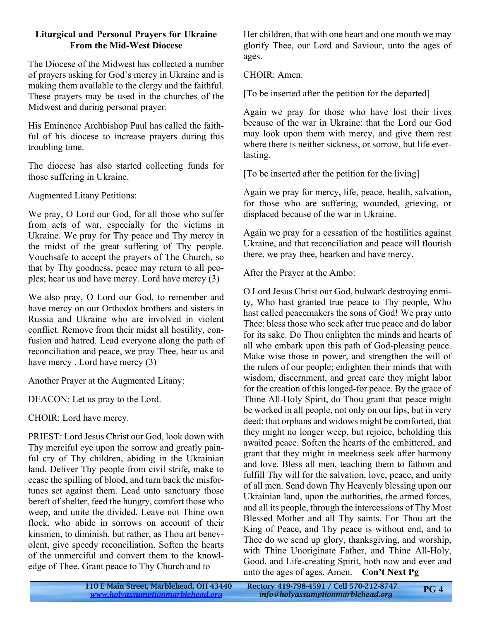#### **Liturgical and Personal Prayers for Ukraine From the Mid-West Diocese**

The Diocese of the Midwest has collected a number of prayers asking for God's mercy in Ukraine and is making them available to the clergy and the faithful. These prayers may be used in the churches of the Midwest and during personal prayer.

His Eminence Archbishop Paul has called the faithful of his diocese to increase prayers during this troubling time.

The diocese has also started collecting funds for those suffering in Ukraine.

Augmented Litany Petitions:

We pray, O Lord our God, for all those who suffer from acts of war, especially for the victims in Ukraine. We pray for Thy peace and Thy mercy in the midst of the great suffering of Thy people. Vouchsafe to accept the prayers of The Church, so that by Thy goodness, peace may return to all peoples; hear us and have mercy. Lord have mercy (3)

We also pray, O Lord our God, to remember and have mercy on our Orthodox brothers and sisters in Russia and Ukraine who are involved in violent conflict. Remove from their midst all hostility, confusion and hatred. Lead everyone along the path of reconciliation and peace, we pray Thee, hear us and have mercy . Lord have mercy (3)

Another Prayer at the Augmented Litany:

DEACON: Let us pray to the Lord.

CHOIR: Lord have mercy.

PRIEST: Lord Jesus Christ our God, look down with Thy merciful eye upon the sorrow and greatly painful cry of Thy children, abiding in the Ukrainian land. Deliver Thy people from civil strife, make to cease the spilling of blood, and turn back the misfortunes set against them. Lead unto sanctuary those bereft of shelter, feed the hungry, comfort those who weep, and unite the divided. Leave not Thine own flock, who abide in sorrows on account of their kinsmen, to diminish, but rather, as Thou art benevolent, give speedy reconciliation. Soften the hearts of the unmerciful and convert them to the knowledge of Thee. Grant peace to Thy Church and to

Her children, that with one heart and one mouth we may glorify Thee, our Lord and Saviour, unto the ages of ages.

CHOIR: Amen.

[To be inserted after the petition for the departed]

Again we pray for those who have lost their lives because of the war in Ukraine: that the Lord our God may look upon them with mercy, and give them rest where there is neither sickness, or sorrow, but life everlasting.

[To be inserted after the petition for the living]

Again we pray for mercy, life, peace, health, salvation, for those who are suffering, wounded, grieving, or displaced because of the war in Ukraine.

Again we pray for a cessation of the hostilities against Ukraine, and that reconciliation and peace will flourish there, we pray thee, hearken and have mercy.

After the Prayer at the Ambo:

O Lord Jesus Christ our God, bulwark destroying enmity, Who hast granted true peace to Thy people, Who hast called peacemakers the sons of God! We pray unto Thee: bless those who seek after true peace and do labor for its sake. Do Thou enlighten the minds and hearts of all who embark upon this path of God-pleasing peace. Make wise those in power, and strengthen the will of the rulers of our people; enlighten their minds that with wisdom, discernment, and great care they might labor for the creation of this longed-for peace. By the grace of Thine All-Holy Spirit, do Thou grant that peace might be worked in all people, not only on our lips, but in very deed; that orphans and widows might be comforted, that they might no longer weep, but rejoice, beholding this awaited peace. Soften the hearts of the embittered, and grant that they might in meekness seek after harmony and love. Bless all men, teaching them to fathom and fulfill Thy will for the salvation, love, peace, and unity of all men. Send down Thy Heavenly blessing upon our Ukrainian land, upon the authorities, the armed forces, and all its people, through the intercessions of Thy Most Blessed Mother and all Thy saints. For Thou art the King of Peace, and Thy peace is without end, and to Thee do we send up glory, thanksgiving, and worship, with Thine Unoriginate Father, and Thine All-Holy, Good, and Life-creating Spirit, both now and ever and unto the ages of ages. Amen. **Con't Next Pg**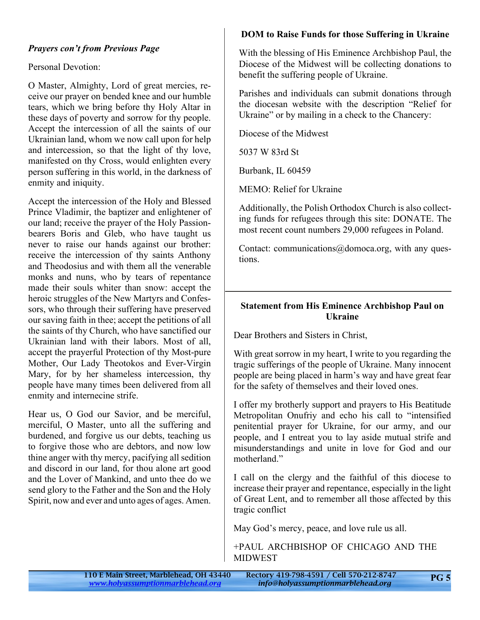#### *Prayers con't from Previous Page*

Personal Devotion:

O Master, Almighty, Lord of great mercies, receive our prayer on bended knee and our humble tears, which we bring before thy Holy Altar in these days of poverty and sorrow for thy people. Accept the intercession of all the saints of our Ukrainian land, whom we now call upon for help and intercession, so that the light of thy love, manifested on thy Cross, would enlighten every person suffering in this world, in the darkness of enmity and iniquity.

Accept the intercession of the Holy and Blessed Prince Vladimir, the baptizer and enlightener of our land; receive the prayer of the Holy Passionbearers Boris and Gleb, who have taught us never to raise our hands against our brother: receive the intercession of thy saints Anthony and Theodosius and with them all the venerable monks and nuns, who by tears of repentance made their souls whiter than snow: accept the heroic struggles of the New Martyrs and Confessors, who through their suffering have preserved our saving faith in thee; accept the petitions of all the saints of thy Church, who have sanctified our Ukrainian land with their labors. Most of all, accept the prayerful Protection of thy Most-pure Mother, Our Lady Theotokos and Ever-Virgin Mary, for by her shameless intercession, thy people have many times been delivered from all enmity and internecine strife.

Hear us, O God our Savior, and be merciful, merciful, O Master, unto all the suffering and burdened, and forgive us our debts, teaching us to forgive those who are debtors, and now low thine anger with thy mercy, pacifying all sedition and discord in our land, for thou alone art good and the Lover of Mankind, and unto thee do we send glory to the Father and the Son and the Holy Spirit, now and ever and unto ages of ages. Amen.

#### **DOM to Raise Funds for those Suffering in Ukraine**

With the blessing of His Eminence Archbishop Paul, the Diocese of the Midwest will be collecting donations to benefit the suffering people of Ukraine.

Parishes and individuals can submit donations through the diocesan website with the description "Relief for Ukraine" or by mailing in a check to the Chancery:

Diocese of the Midwest

5037 W 83rd St

Burbank, IL 60459

MEMO: Relief for Ukraine

Additionally, the Polish Orthodox Church is also collecting funds for refugees through this site: DONATE. The most recent count numbers 29,000 refugees in Poland.

Contact: communications@domoca.org, with any questions.

#### **Statement from His Eminence Archbishop Paul on Ukraine**

Dear Brothers and Sisters in Christ,

With great sorrow in my heart, I write to you regarding the tragic sufferings of the people of Ukraine. Many innocent people are being placed in harm's way and have great fear for the safety of themselves and their loved ones.

I offer my brotherly support and prayers to His Beatitude Metropolitan Onufriy and echo his call to "intensified penitential prayer for Ukraine, for our army, and our people, and I entreat you to lay aside mutual strife and misunderstandings and unite in love for God and our motherland."

I call on the clergy and the faithful of this diocese to increase their prayer and repentance, especially in the light of Great Lent, and to remember all those affected by this tragic conflict

May God's mercy, peace, and love rule us all.

+PAUL ARCHBISHOP OF CHICAGO AND THE MIDWEST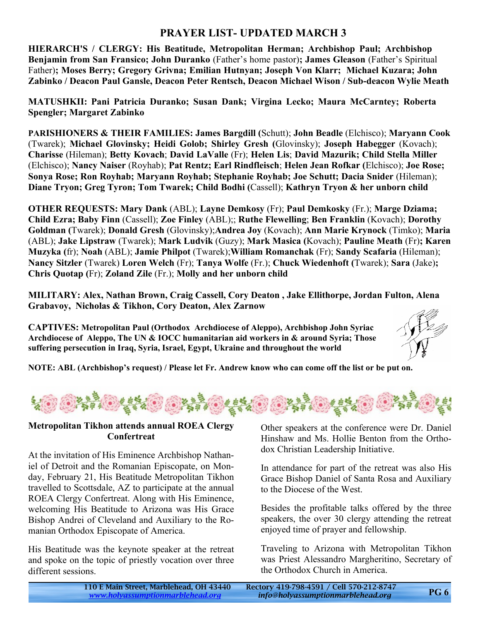## **PRAYER LIST- UPDATED MARCH 3**

**HIERARCH'S / CLERGY: His Beatitude, Metropolitan Herman; Archbishop Paul; Archbishop Benjamin from San Fransico; John Duranko** (Father's home pastor)**; James Gleason** (Father's Spiritual Father)**; Moses Berry; Gregory Grivna; Emilian Hutnyan; Joseph Von Klarr; Michael Kuzara; John Zabinko / Deacon Paul Gansle, Deacon Peter Rentsch, Deacon Michael Wison / Sub-deacon Wylie Meath**

**MATUSHKII: Pani Patricia Duranko; Susan Dank; Virgina Lecko; Maura McCarntey; Roberta Spengler; Margaret Zabinko**

**PARISHIONERS & THEIR FAMILIES: James Bargdill (**Schutt); **John Beadle** (Elchisco); **Maryann Cook** (Twarek); **Michael Glovinsky; Heidi Golob; Shirley Gresh (**Glovinsky); **Joseph Habegger** (Kovach); **Charisse** (Hileman); **Betty Kovach**; **David LaValle** (Fr); **Helen Lis**; **David Mazurik; Child Stella Miller** (Elchisco); **Nancy Naiser** (Royhab); **Pat Rentz; Earl Rindfleisch**; **Helen Jean Rofkar (**Elchisco); **Joe Rose; Sonya Rose; Ron Royhab; Maryann Royhab; Stephanie Royhab; Joe Schutt; Dacia Snider** (Hileman); **Diane Tryon; Greg Tyron; Tom Twarek; Child Bodhi (**Cassell); **Kathryn Tryon & her unborn child**

**OTHER REQUESTS: Mary Dank** (ABL); **Layne Demkosy** (Fr); **Paul Demkosky** (Fr.); **Marge Dziama; Child Ezra; Baby Finn** (Cassell); **Zoe Finley** (ABL);; **Ruthe Flewelling**; **Ben Franklin** (Kovach); **Dorothy Goldman (**Twarek); **Donald Gresh** (Glovinsky);**Andrea Joy** (Kovach); **Ann Marie Krynock** (Timko); **Maria** (ABL); **Jake Lipstraw** (Twarek); **Mark Ludvik** (Guzy); **Mark Masica (**Kovach); **Pauline Meath** (Fr)**; Karen Muzyka (**fr); **Noah** (ABL); **Jamie Philpot** (Twarek);**William Romanchak** (Fr); **Sandy Scafaria** (Hileman); **Nancy Sitzler** (Twarek) **Loren Welch** (Fr); **Tanya Wolfe** (Fr.); **Chuck Wiedenhoft (**Twarek); **Sara** (Jake)**; Chris Quotap (**Fr); **Zoland Zile** (Fr.); **Molly and her unborn child**

**MILITARY: Alex, Nathan Brown, Craig Cassell, Cory Deaton , Jake Ellithorpe, Jordan Fulton, Alena Grabavoy, Nicholas & Tikhon, Cory Deaton, Alex Zarnow**

**CAPTIVES: Metropolitan Paul (Orthodox Archdiocese of Aleppo), Archbishop John Syriac Archdiocese of Aleppo, The UN & IOCC humanitarian aid workers in & around Syria; Those suffering persecution in Iraq, Syria, Israel, Egypt, Ukraine and throughout the world**



**NOTE: ABL (Archbishop's request) / Please let Fr. Andrew know who can come off the list or be put on.**



#### **Metropolitan Tikhon attends annual ROEA Clergy Confertreat**

At the invitation of His Eminence Archbishop Nathaniel of Detroit and the Romanian Episcopate, on Monday, February 21, His Beatitude Metropolitan Tikhon travelled to Scottsdale, AZ to participate at the annual ROEA Clergy Confertreat. Along with His Eminence, welcoming His Beatitude to Arizona was His Grace Bishop Andrei of Cleveland and Auxiliary to the Romanian Orthodox Episcopate of America.

His Beatitude was the keynote speaker at the retreat and spoke on the topic of priestly vocation over three different sessions.

Other speakers at the conference were Dr. Daniel Hinshaw and Ms. Hollie Benton from the Orthodox Christian Leadership Initiative.

In attendance for part of the retreat was also His Grace Bishop Daniel of Santa Rosa and Auxiliary to the Diocese of the West.

Besides the profitable talks offered by the three speakers, the over 30 clergy attending the retreat enjoyed time of prayer and fellowship.

Traveling to Arizona with Metropolitan Tikhon was Priest Alessandro Margheritino, Secretary of the Orthodox Church in America.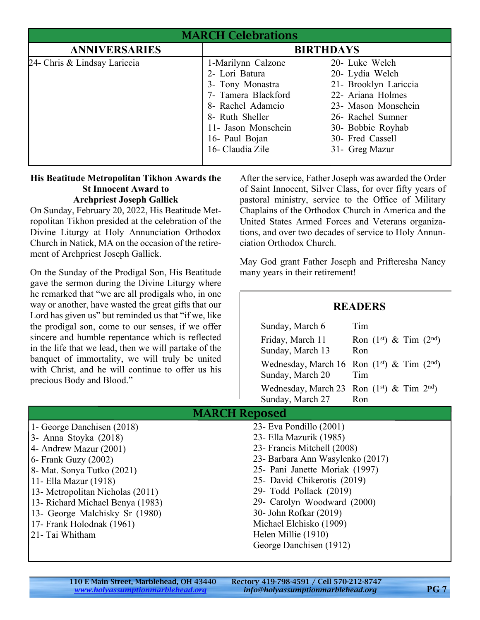| <b>MARCH Celebrations</b>    |                                                                                                                         |                                                                                                                             |
|------------------------------|-------------------------------------------------------------------------------------------------------------------------|-----------------------------------------------------------------------------------------------------------------------------|
| <b>ANNIVERSARIES</b>         | <b>BIRTHDAYS</b>                                                                                                        |                                                                                                                             |
| 24- Chris & Lindsay Lariccia | 1-Marilynn Calzone<br>2- Lori Batura<br>3- Tony Monastra<br>7- Tamera Blackford<br>8- Rachel Adamcio<br>8- Ruth Sheller | 20- Luke Welch<br>20- Lydia Welch<br>21- Brooklyn Lariccia<br>22- Ariana Holmes<br>23- Mason Monschein<br>26- Rachel Sumner |
|                              | 11- Jason Monschein<br>16- Paul Bojan<br>16- Claudia Zile                                                               | 30- Bobbie Royhab<br>30- Fred Cassell<br>31- Greg Mazur                                                                     |

#### **His Beatitude Metropolitan Tikhon Awards the St Innocent Award to Archpriest Joseph Gallick**

On Sunday, February 20, 2022, His Beatitude Metropolitan Tikhon presided at the celebration of the Divine Liturgy at Holy Annunciation Orthodox Church in Natick, MA on the occasion of the retirement of Archpriest Joseph Gallick.

On the Sunday of the Prodigal Son, His Beatitude gave the sermon during the Divine Liturgy where he remarked that "we are all prodigals who, in one way or another, have wasted the great gifts that our Lord has given us" but reminded us that "if we, like the prodigal son, come to our senses, if we offer sincere and humble repentance which is reflected in the life that we lead, then we will partake of the banquet of immortality, we will truly be united with Christ, and he will continue to offer us his precious Body and Blood."

After the service, Father Joseph was awarded the Order of Saint Innocent, Silver Class, for over fifty years of pastoral ministry, service to the Office of Military Chaplains of the Orthodox Church in America and the United States Armed Forces and Veterans organizations, and over two decades of service to Holy Annunciation Orthodox Church.

May God grant Father Joseph and Prifteresha Nancy many years in their retirement!

## **READERS**

| Sunday, March 6                               | Tim                                           |
|-----------------------------------------------|-----------------------------------------------|
| Friday, March 11                              | Ron $(1st)$ & Tim $(2nd)$                     |
| Sunday, March 13                              | Ron                                           |
|                                               | Wednesday, March 16 Ron $(1st)$ & Tim $(2nd)$ |
| Sunday, March 20                              | Tim                                           |
| Wednesday, March 23 Ron $(1st)$ & Tim $2nd$ ) |                                               |
| Sunday, March 27                              | Ron                                           |

# MARCH Reposed

| 1- George Danchisen (2018)        | 23- Eva Pondillo (2001)           |
|-----------------------------------|-----------------------------------|
| $3$ - Anna Stoyka (2018)          | 23 - Ella Mazurik (1985)          |
| $\vert$ 4- Andrew Mazur (2001)    | 23- Francis Mitchell (2008)       |
| $6$ - Frank Guzy (2002)           | 23 - Barbara Ann Wasylenko (2017) |
| 8 - Mat. Sonya Tutko (2021)       | 25- Pani Janette Moriak (1997)    |
| 11 - Ella Mazur (1918)            | 25- David Chikerotis (2019)       |
| 13- Metropolitan Nicholas (2011)  | 29- Todd Pollack (2019)           |
| 13 - Richard Michael Benya (1983) | 29- Carolyn Woodward (2000)       |
| 13- George Malchisky Sr (1980)    | 30- John Rofkar (2019)            |
| 17 - Frank Holodnak (1961)        | Michael Elchisko (1909)           |
| 21 - Tai Whitham                  | Helen Millie (1910)               |
|                                   | George Danchisen (1912)           |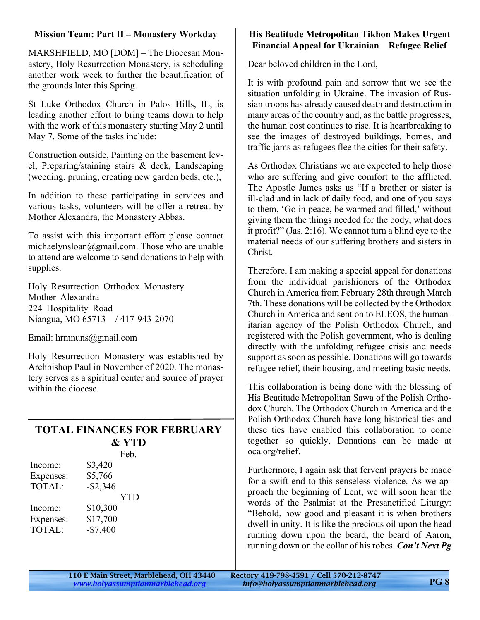### **Mission Team: Part II – Monastery Workday**

MARSHFIELD, MO [DOM] – The Diocesan Monastery, Holy Resurrection Monastery, is scheduling another work week to further the beautification of the grounds later this Spring.

St Luke Orthodox Church in Palos Hills, IL, is leading another effort to bring teams down to help with the work of this monastery starting May 2 until May 7. Some of the tasks include:

Construction outside, Painting on the basement level, Preparing/staining stairs & deck, Landscaping (weeding, pruning, creating new garden beds, etc.),

In addition to these participating in services and various tasks, volunteers will be offer a retreat by Mother Alexandra, the Monastery Abbas.

To assist with this important effort please contact michaelynsloan@gmail.com. Those who are unable to attend are welcome to send donations to help with supplies.

Holy Resurrection Orthodox Monastery Mother Alexandra 224 Hospitality Road Niangua, MO 65713 / 417-943-2070

Email: hrmnuns@gmail.com

Holy Resurrection Monastery was established by Archbishop Paul in November of 2020. The monastery serves as a spiritual center and source of prayer within the diocese.

# **TOTAL FINANCES FOR FEBRUARY & YTD**

Feb.

| Income:<br>Expenses:<br>TOTAL: | \$3,420<br>\$5,766<br>$-$ \$2,346 |
|--------------------------------|-----------------------------------|
|                                | <b>YTD</b>                        |
| Income:                        | \$10,300                          |
| Expenses:                      | \$17,700                          |
| <b>TOTAL:</b>                  | $-$7,400$                         |

## **His Beatitude Metropolitan Tikhon Makes Urgent Financial Appeal for Ukrainian Refugee Relief**

Dear beloved children in the Lord,

It is with profound pain and sorrow that we see the situation unfolding in Ukraine. The invasion of Russian troops has already caused death and destruction in many areas of the country and, as the battle progresses, the human cost continues to rise. It is heartbreaking to see the images of destroyed buildings, homes, and traffic jams as refugees flee the cities for their safety.

As Orthodox Christians we are expected to help those who are suffering and give comfort to the afflicted. The Apostle James asks us "If a brother or sister is ill-clad and in lack of daily food, and one of you says to them, 'Go in peace, be warmed and filled,' without giving them the things needed for the body, what does it profit?" (Jas. 2:16). We cannot turn a blind eye to the material needs of our suffering brothers and sisters in Christ.

Therefore, I am making a special appeal for donations from the individual parishioners of the Orthodox Church in America from February 28th through March 7th. These donations will be collected by the Orthodox Church in America and sent on to ELEOS, the humanitarian agency of the Polish Orthodox Church, and registered with the Polish government, who is dealing directly with the unfolding refugee crisis and needs support as soon as possible. Donations will go towards refugee relief, their housing, and meeting basic needs.

This collaboration is being done with the blessing of His Beatitude Metropolitan Sawa of the Polish Orthodox Church. The Orthodox Church in America and the Polish Orthodox Church have long historical ties and these ties have enabled this collaboration to come together so quickly. Donations can be made at oca.org/relief.

Furthermore, I again ask that fervent prayers be made for a swift end to this senseless violence. As we approach the beginning of Lent, we will soon hear the words of the Psalmist at the Presanctified Liturgy: "Behold, how good and pleasant it is when brothers dwell in unity. It is like the precious oil upon the head running down upon the beard, the beard of Aaron, running down on the collar of his robes. *Con't Next Pg*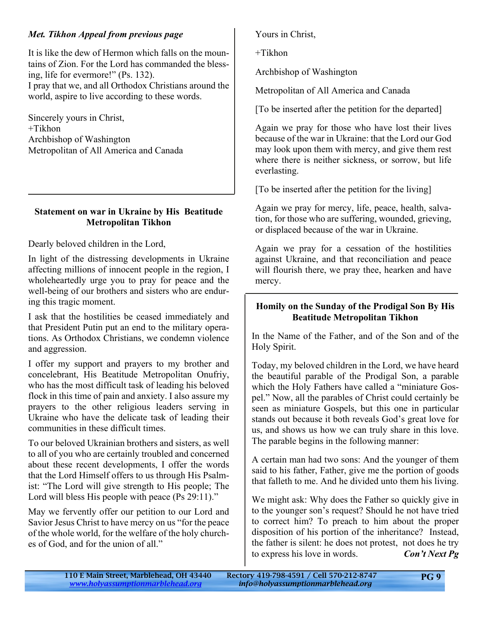## *Met. Tikhon Appeal from previous page*

It is like the dew of Hermon which falls on the mountains of Zion. For the Lord has commanded the blessing, life for evermore!" (Ps. 132). I pray that we, and all Orthodox Christians around the world, aspire to live according to these words.

Sincerely yours in Christ, +Tikhon Archbishop of Washington Metropolitan of All America and Canada

#### **Statement on war in Ukraine by His Beatitude Metropolitan Tikhon**

Dearly beloved children in the Lord,

In light of the distressing developments in Ukraine affecting millions of innocent people in the region, I wholeheartedly urge you to pray for peace and the well-being of our brothers and sisters who are enduring this tragic moment.

I ask that the hostilities be ceased immediately and that President Putin put an end to the military operations. As Orthodox Christians, we condemn violence and aggression.

I offer my support and prayers to my brother and concelebrant, His Beatitude Metropolitan Onufriy, who has the most difficult task of leading his beloved flock in this time of pain and anxiety. I also assure my prayers to the other religious leaders serving in Ukraine who have the delicate task of leading their communities in these difficult times.

To our beloved Ukrainian brothers and sisters, as well to all of you who are certainly troubled and concerned about these recent developments, I offer the words that the Lord Himself offers to us through His Psalmist: "The Lord will give strength to His people; The Lord will bless His people with peace (Ps 29:11)."

May we fervently offer our petition to our Lord and Savior Jesus Christ to have mercy on us "for the peace of the whole world, for the welfare of the holy churches of God, and for the union of all."

Yours in Christ,

+Tikhon

Archbishop of Washington

Metropolitan of All America and Canada

[To be inserted after the petition for the departed]

Again we pray for those who have lost their lives because of the war in Ukraine: that the Lord our God may look upon them with mercy, and give them rest where there is neither sickness, or sorrow, but life everlasting.

[To be inserted after the petition for the living]

Again we pray for mercy, life, peace, health, salvation, for those who are suffering, wounded, grieving, or displaced because of the war in Ukraine.

Again we pray for a cessation of the hostilities against Ukraine, and that reconciliation and peace will flourish there, we pray thee, hearken and have mercy.

### **Homily on the Sunday of the Prodigal Son By His Beatitude Metropolitan Tikhon**

In the Name of the Father, and of the Son and of the Holy Spirit.

Today, my beloved children in the Lord, we have heard the beautiful parable of the Prodigal Son, a parable which the Holy Fathers have called a "miniature Gospel." Now, all the parables of Christ could certainly be seen as miniature Gospels, but this one in particular stands out because it both reveals God's great love for us, and shows us how we can truly share in this love. The parable begins in the following manner:

A certain man had two sons: And the younger of them said to his father, Father, give me the portion of goods that falleth to me. And he divided unto them his living.

We might ask: Why does the Father so quickly give in to the younger son's request? Should he not have tried to correct him? To preach to him about the proper disposition of his portion of the inheritance? Instead, the father is silent: he does not protest, not does he try to express his love in words. *Con't Next Pg*